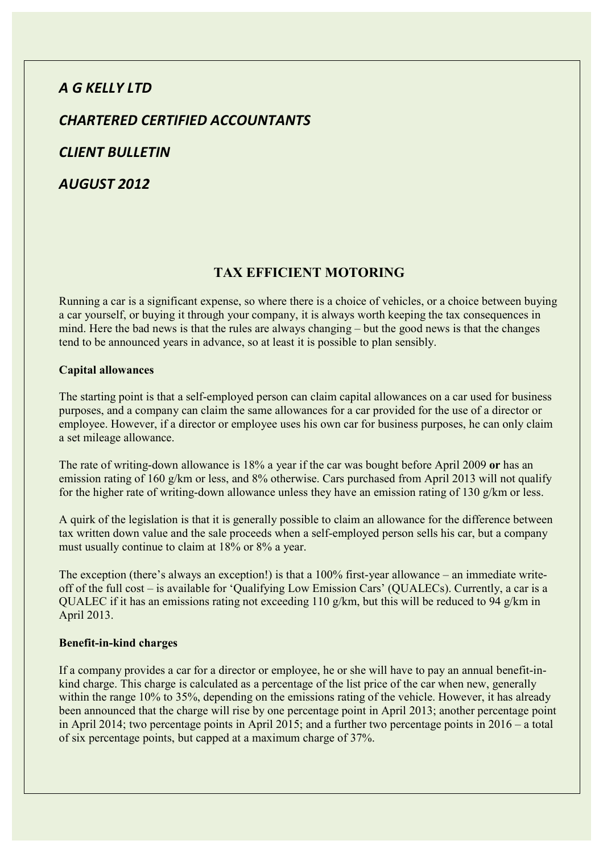# *A G KELLY LTD*

*CHARTERED CERTIFIED ACCOUNTANTS* 

*CLIENT BULLETIN* 

*AUGUST 2012* 

## **TAX EFFICIENT MOTORING**

Running a car is a significant expense, so where there is a choice of vehicles, or a choice between buying a car yourself, or buying it through your company, it is always worth keeping the tax consequences in mind. Here the bad news is that the rules are always changing – but the good news is that the changes tend to be announced years in advance, so at least it is possible to plan sensibly.

### **Capital allowances**

The starting point is that a self-employed person can claim capital allowances on a car used for business purposes, and a company can claim the same allowances for a car provided for the use of a director or employee. However, if a director or employee uses his own car for business purposes, he can only claim a set mileage allowance.

The rate of writing-down allowance is 18% a year if the car was bought before April 2009 **or** has an emission rating of 160 g/km or less, and 8% otherwise. Cars purchased from April 2013 will not qualify for the higher rate of writing-down allowance unless they have an emission rating of 130 g/km or less.

A quirk of the legislation is that it is generally possible to claim an allowance for the difference between tax written down value and the sale proceeds when a self-employed person sells his car, but a company must usually continue to claim at 18% or 8% a year.

The exception (there's always an exception!) is that a 100% first-year allowance – an immediate writeoff of the full cost – is available for 'Qualifying Low Emission Cars' (QUALECs). Currently, a car is a QUALEC if it has an emissions rating not exceeding 110 g/km, but this will be reduced to 94 g/km in April 2013.

### **Benefit-in-kind charges**

If a company provides a car for a director or employee, he or she will have to pay an annual benefit-inkind charge. This charge is calculated as a percentage of the list price of the car when new, generally within the range 10% to 35%, depending on the emissions rating of the vehicle. However, it has already been announced that the charge will rise by one percentage point in April 2013; another percentage point in April 2014; two percentage points in April 2015; and a further two percentage points in 2016 – a total of six percentage points, but capped at a maximum charge of 37%.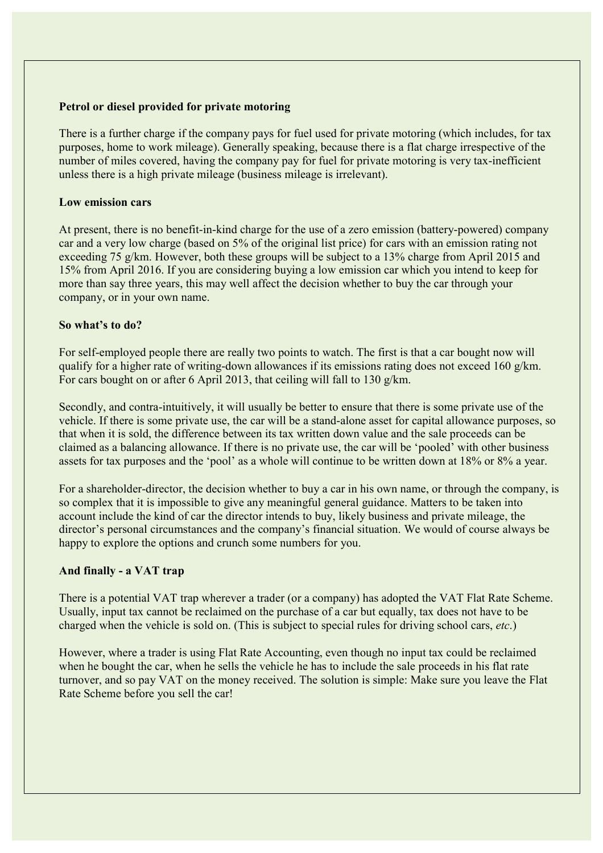### **Petrol or diesel provided for private motoring**

There is a further charge if the company pays for fuel used for private motoring (which includes, for tax purposes, home to work mileage). Generally speaking, because there is a flat charge irrespective of the number of miles covered, having the company pay for fuel for private motoring is very tax-inefficient unless there is a high private mileage (business mileage is irrelevant).

### **Low emission cars**

At present, there is no benefit-in-kind charge for the use of a zero emission (battery-powered) company car and a very low charge (based on 5% of the original list price) for cars with an emission rating not exceeding 75 g/km. However, both these groups will be subject to a 13% charge from April 2015 and 15% from April 2016. If you are considering buying a low emission car which you intend to keep for more than say three years, this may well affect the decision whether to buy the car through your company, or in your own name.

### **So what's to do?**

For self-employed people there are really two points to watch. The first is that a car bought now will qualify for a higher rate of writing-down allowances if its emissions rating does not exceed 160 g/km. For cars bought on or after 6 April 2013, that ceiling will fall to 130 g/km.

Secondly, and contra-intuitively, it will usually be better to ensure that there is some private use of the vehicle. If there is some private use, the car will be a stand-alone asset for capital allowance purposes, so that when it is sold, the difference between its tax written down value and the sale proceeds can be claimed as a balancing allowance. If there is no private use, the car will be 'pooled' with other business assets for tax purposes and the 'pool' as a whole will continue to be written down at 18% or 8% a year.

For a shareholder-director, the decision whether to buy a car in his own name, or through the company, is so complex that it is impossible to give any meaningful general guidance. Matters to be taken into account include the kind of car the director intends to buy, likely business and private mileage, the director's personal circumstances and the company's financial situation. We would of course always be happy to explore the options and crunch some numbers for you.

### **And finally - a VAT trap**

There is a potential VAT trap wherever a trader (or a company) has adopted the VAT Flat Rate Scheme. Usually, input tax cannot be reclaimed on the purchase of a car but equally, tax does not have to be charged when the vehicle is sold on. (This is subject to special rules for driving school cars, *etc*.)

However, where a trader is using Flat Rate Accounting, even though no input tax could be reclaimed when he bought the car, when he sells the vehicle he has to include the sale proceeds in his flat rate turnover, and so pay VAT on the money received. The solution is simple: Make sure you leave the Flat Rate Scheme before you sell the car!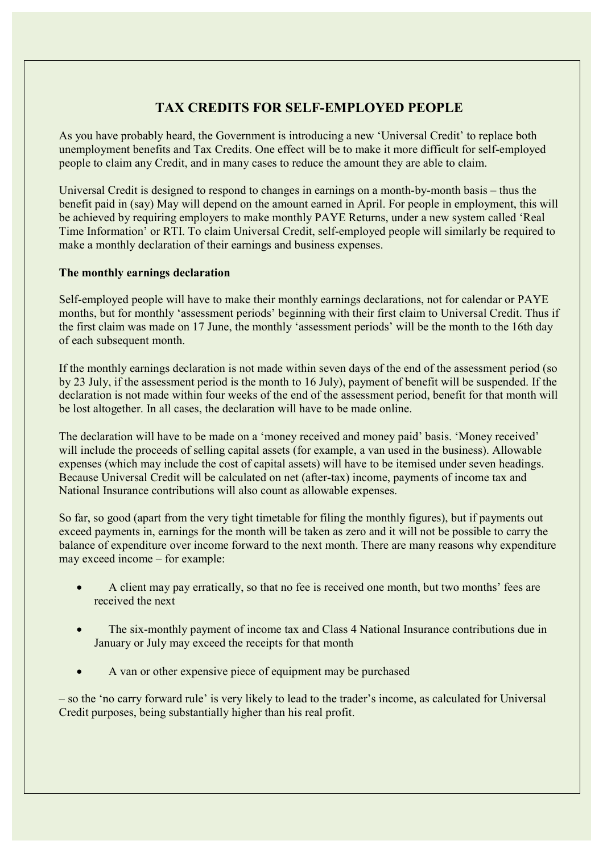## **TAX CREDITS FOR SELF-EMPLOYED PEOPLE**

As you have probably heard, the Government is introducing a new 'Universal Credit' to replace both unemployment benefits and Tax Credits. One effect will be to make it more difficult for self-employed people to claim any Credit, and in many cases to reduce the amount they are able to claim.

Universal Credit is designed to respond to changes in earnings on a month-by-month basis – thus the benefit paid in (say) May will depend on the amount earned in April. For people in employment, this will be achieved by requiring employers to make monthly PAYE Returns, under a new system called 'Real Time Information' or RTI. To claim Universal Credit, self-employed people will similarly be required to make a monthly declaration of their earnings and business expenses.

### **The monthly earnings declaration**

Self-employed people will have to make their monthly earnings declarations, not for calendar or PAYE months, but for monthly 'assessment periods' beginning with their first claim to Universal Credit. Thus if the first claim was made on 17 June, the monthly 'assessment periods' will be the month to the 16th day of each subsequent month.

If the monthly earnings declaration is not made within seven days of the end of the assessment period (so by 23 July, if the assessment period is the month to 16 July), payment of benefit will be suspended. If the declaration is not made within four weeks of the end of the assessment period, benefit for that month will be lost altogether. In all cases, the declaration will have to be made online.

The declaration will have to be made on a 'money received and money paid' basis. 'Money received' will include the proceeds of selling capital assets (for example, a van used in the business). Allowable expenses (which may include the cost of capital assets) will have to be itemised under seven headings. Because Universal Credit will be calculated on net (after-tax) income, payments of income tax and National Insurance contributions will also count as allowable expenses.

So far, so good (apart from the very tight timetable for filing the monthly figures), but if payments out exceed payments in, earnings for the month will be taken as zero and it will not be possible to carry the balance of expenditure over income forward to the next month. There are many reasons why expenditure may exceed income – for example:

- A client may pay erratically, so that no fee is received one month, but two months' fees are received the next
- The six-monthly payment of income tax and Class 4 National Insurance contributions due in January or July may exceed the receipts for that month
- A van or other expensive piece of equipment may be purchased

– so the 'no carry forward rule' is very likely to lead to the trader's income, as calculated for Universal Credit purposes, being substantially higher than his real profit.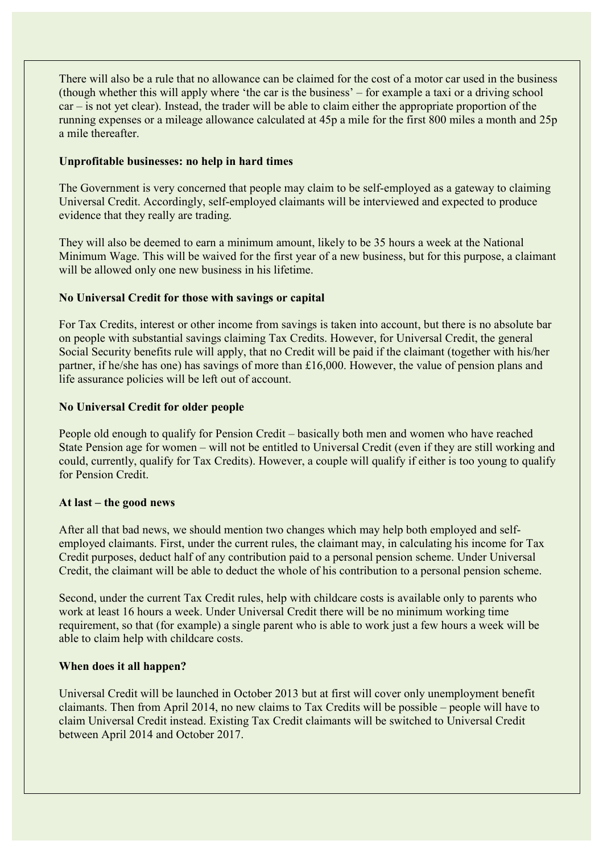There will also be a rule that no allowance can be claimed for the cost of a motor car used in the business (though whether this will apply where 'the car is the business' – for example a taxi or a driving school car – is not yet clear). Instead, the trader will be able to claim either the appropriate proportion of the running expenses or a mileage allowance calculated at 45p a mile for the first 800 miles a month and 25p a mile thereafter.

### **Unprofitable businesses: no help in hard times**

The Government is very concerned that people may claim to be self-employed as a gateway to claiming Universal Credit. Accordingly, self-employed claimants will be interviewed and expected to produce evidence that they really are trading.

They will also be deemed to earn a minimum amount, likely to be 35 hours a week at the National Minimum Wage. This will be waived for the first year of a new business, but for this purpose, a claimant will be allowed only one new business in his lifetime.

## **No Universal Credit for those with savings or capital**

For Tax Credits, interest or other income from savings is taken into account, but there is no absolute bar on people with substantial savings claiming Tax Credits. However, for Universal Credit, the general Social Security benefits rule will apply, that no Credit will be paid if the claimant (together with his/her partner, if he/she has one) has savings of more than £16,000. However, the value of pension plans and life assurance policies will be left out of account.

### **No Universal Credit for older people**

People old enough to qualify for Pension Credit – basically both men and women who have reached State Pension age for women – will not be entitled to Universal Credit (even if they are still working and could, currently, qualify for Tax Credits). However, a couple will qualify if either is too young to qualify for Pension Credit.

### **At last – the good news**

After all that bad news, we should mention two changes which may help both employed and selfemployed claimants. First, under the current rules, the claimant may, in calculating his income for Tax Credit purposes, deduct half of any contribution paid to a personal pension scheme. Under Universal Credit, the claimant will be able to deduct the whole of his contribution to a personal pension scheme.

Second, under the current Tax Credit rules, help with childcare costs is available only to parents who work at least 16 hours a week. Under Universal Credit there will be no minimum working time requirement, so that (for example) a single parent who is able to work just a few hours a week will be able to claim help with childcare costs.

### **When does it all happen?**

Universal Credit will be launched in October 2013 but at first will cover only unemployment benefit claimants. Then from April 2014, no new claims to Tax Credits will be possible – people will have to claim Universal Credit instead. Existing Tax Credit claimants will be switched to Universal Credit between April 2014 and October 2017.